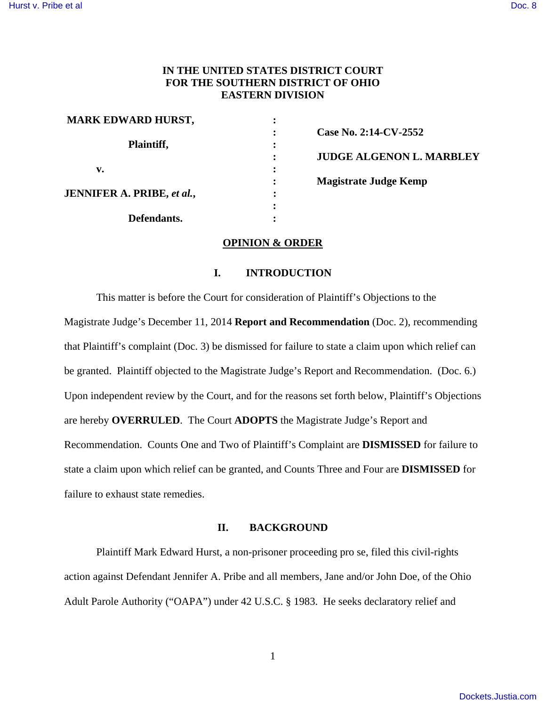# **IN THE UNITED STATES DISTRICT COURT FOR THE SOUTHERN DISTRICT OF OHIO EASTERN DIVISION**

| <b>Case No</b> |
|----------------|
|                |
| <b>JUDGE</b>   |
|                |
| <b>Magistr</b> |
|                |
|                |
|                |
|                |

**0. 2:14-CV-2552 E ALGENON L. MARBLEY rate Judge Kemp** 

## **OPINION & ORDER**

## **I. INTRODUCTION**

This matter is before the Court for consideration of Plaintiff's Objections to the Magistrate Judge's December 11, 2014 **Report and Recommendation** (Doc. 2), recommending that Plaintiff's complaint (Doc. 3) be dismissed for failure to state a claim upon which relief can be granted. Plaintiff objected to the Magistrate Judge's Report and Recommendation. (Doc. 6.) Upon independent review by the Court, and for the reasons set forth below, Plaintiff's Objections are hereby **OVERRULED**. The Court **ADOPTS** the Magistrate Judge's Report and Recommendation. Counts One and Two of Plaintiff's Complaint are **DISMISSED** for failure to state a claim upon which relief can be granted, and Counts Three and Four are **DISMISSED** for failure to exhaust state remedies.

### **II. BACKGROUND**

Plaintiff Mark Edward Hurst, a non-prisoner proceeding pro se, filed this civil-rights action against Defendant Jennifer A. Pribe and all members, Jane and/or John Doe, of the Ohio Adult Parole Authority ("OAPA") under 42 U.S.C. § 1983. He seeks declaratory relief and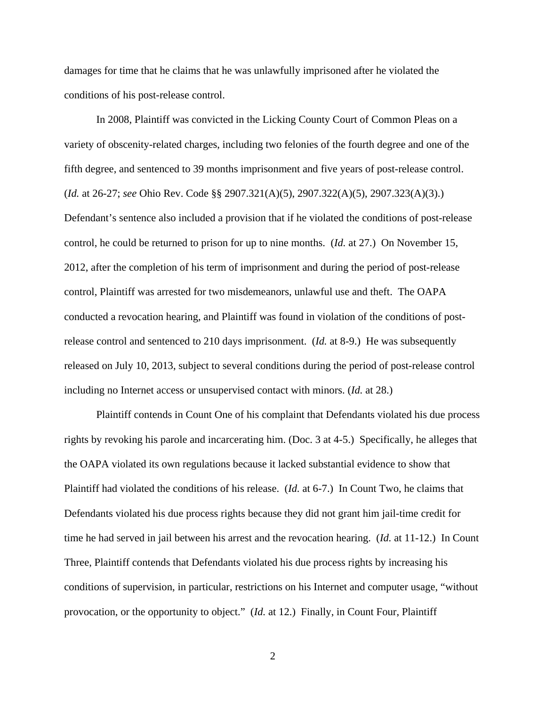damages for time that he claims that he was unlawfully imprisoned after he violated the conditions of his post-release control.

In 2008, Plaintiff was convicted in the Licking County Court of Common Pleas on a variety of obscenity-related charges, including two felonies of the fourth degree and one of the fifth degree, and sentenced to 39 months imprisonment and five years of post-release control. (*Id.* at 26-27; *see* Ohio Rev. Code §§ 2907.321(A)(5), 2907.322(A)(5), 2907.323(A)(3).) Defendant's sentence also included a provision that if he violated the conditions of post-release control, he could be returned to prison for up to nine months. (*Id.* at 27.) On November 15, 2012, after the completion of his term of imprisonment and during the period of post-release control, Plaintiff was arrested for two misdemeanors, unlawful use and theft. The OAPA conducted a revocation hearing, and Plaintiff was found in violation of the conditions of postrelease control and sentenced to 210 days imprisonment. (*Id.* at 8-9.) He was subsequently released on July 10, 2013, subject to several conditions during the period of post-release control including no Internet access or unsupervised contact with minors. (*Id.* at 28.)

Plaintiff contends in Count One of his complaint that Defendants violated his due process rights by revoking his parole and incarcerating him. (Doc. 3 at 4-5.) Specifically, he alleges that the OAPA violated its own regulations because it lacked substantial evidence to show that Plaintiff had violated the conditions of his release. (*Id.* at 6-7.) In Count Two, he claims that Defendants violated his due process rights because they did not grant him jail-time credit for time he had served in jail between his arrest and the revocation hearing. (*Id.* at 11-12.) In Count Three, Plaintiff contends that Defendants violated his due process rights by increasing his conditions of supervision, in particular, restrictions on his Internet and computer usage, "without provocation, or the opportunity to object." (*Id.* at 12.) Finally, in Count Four, Plaintiff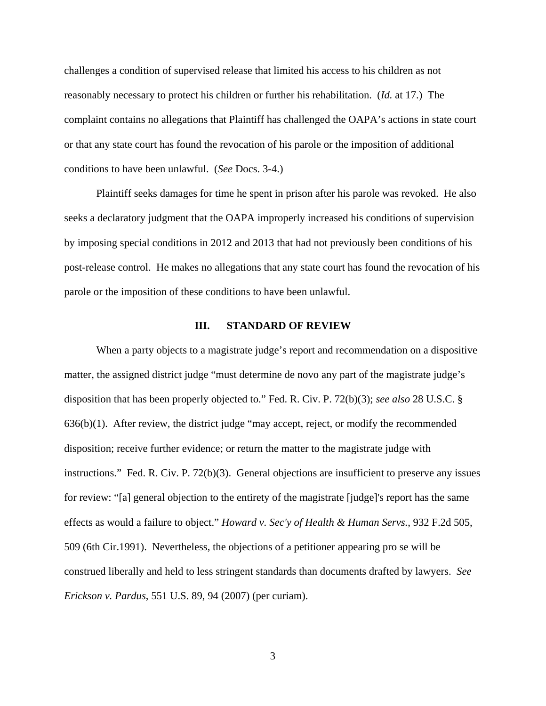challenges a condition of supervised release that limited his access to his children as not reasonably necessary to protect his children or further his rehabilitation. (*Id.* at 17.) The complaint contains no allegations that Plaintiff has challenged the OAPA's actions in state court or that any state court has found the revocation of his parole or the imposition of additional conditions to have been unlawful. (*See* Docs. 3-4.)

Plaintiff seeks damages for time he spent in prison after his parole was revoked. He also seeks a declaratory judgment that the OAPA improperly increased his conditions of supervision by imposing special conditions in 2012 and 2013 that had not previously been conditions of his post-release control. He makes no allegations that any state court has found the revocation of his parole or the imposition of these conditions to have been unlawful.

#### **III. STANDARD OF REVIEW**

When a party objects to a magistrate judge's report and recommendation on a dispositive matter, the assigned district judge "must determine de novo any part of the magistrate judge's disposition that has been properly objected to." Fed. R. Civ. P. 72(b)(3); *see also* 28 U.S.C. § 636(b)(1). After review, the district judge "may accept, reject, or modify the recommended disposition; receive further evidence; or return the matter to the magistrate judge with instructions." Fed. R. Civ. P. 72(b)(3). General objections are insufficient to preserve any issues for review: "[a] general objection to the entirety of the magistrate [judge]'s report has the same effects as would a failure to object." *Howard v. Sec'y of Health & Human Servs.*, 932 F.2d 505, 509 (6th Cir.1991). Nevertheless, the objections of a petitioner appearing pro se will be construed liberally and held to less stringent standards than documents drafted by lawyers. *See Erickson v. Pardus*, 551 U.S. 89, 94 (2007) (per curiam).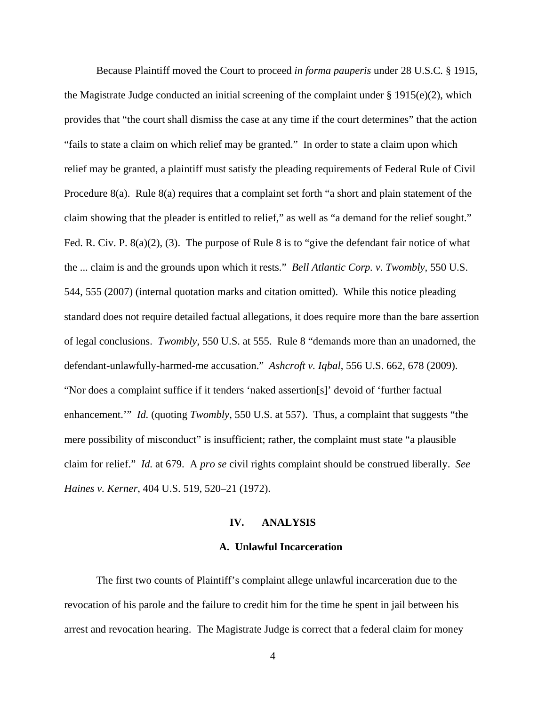Because Plaintiff moved the Court to proceed *in forma pauperis* under 28 U.S.C. § 1915, the Magistrate Judge conducted an initial screening of the complaint under  $\S 1915(e)(2)$ , which provides that "the court shall dismiss the case at any time if the court determines" that the action "fails to state a claim on which relief may be granted." In order to state a claim upon which relief may be granted, a plaintiff must satisfy the pleading requirements of Federal Rule of Civil Procedure 8(a). Rule 8(a) requires that a complaint set forth "a short and plain statement of the claim showing that the pleader is entitled to relief," as well as "a demand for the relief sought." Fed. R. Civ. P. 8(a)(2), (3). The purpose of Rule 8 is to "give the defendant fair notice of what the ... claim is and the grounds upon which it rests." *Bell Atlantic Corp. v. Twombly*, 550 U.S. 544, 555 (2007) (internal quotation marks and citation omitted). While this notice pleading standard does not require detailed factual allegations, it does require more than the bare assertion of legal conclusions. *Twombly*, 550 U.S. at 555. Rule 8 "demands more than an unadorned, the defendant-unlawfully-harmed-me accusation." *Ashcroft v. Iqbal*, 556 U.S. 662, 678 (2009). "Nor does a complaint suffice if it tenders 'naked assertion[s]' devoid of 'further factual enhancement.'" *Id.* (quoting *Twombly*, 550 U.S. at 557). Thus, a complaint that suggests "the mere possibility of misconduct" is insufficient; rather, the complaint must state "a plausible claim for relief." *Id.* at 679. A *pro se* civil rights complaint should be construed liberally. *See Haines v. Kerner*, 404 U.S. 519, 520–21 (1972).

#### **IV. ANALYSIS**

#### **A. Unlawful Incarceration**

The first two counts of Plaintiff's complaint allege unlawful incarceration due to the revocation of his parole and the failure to credit him for the time he spent in jail between his arrest and revocation hearing. The Magistrate Judge is correct that a federal claim for money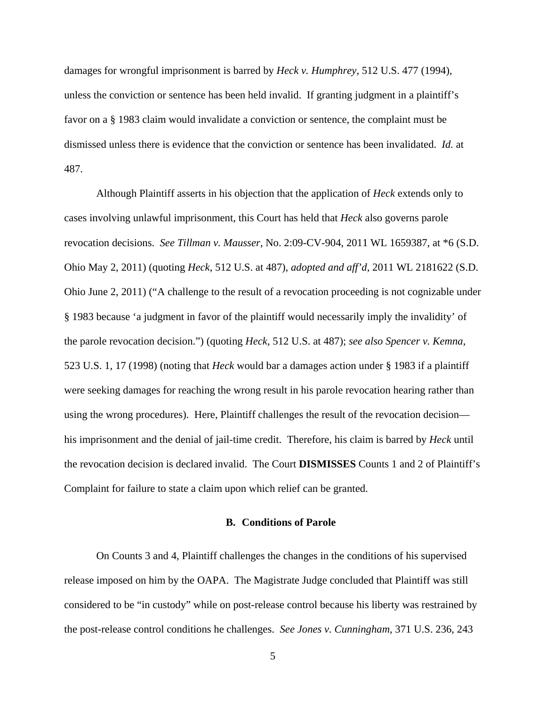damages for wrongful imprisonment is barred by *Heck v. Humphrey*, 512 U.S. 477 (1994), unless the conviction or sentence has been held invalid. If granting judgment in a plaintiff's favor on a § 1983 claim would invalidate a conviction or sentence, the complaint must be dismissed unless there is evidence that the conviction or sentence has been invalidated. *Id.* at 487.

Although Plaintiff asserts in his objection that the application of *Heck* extends only to cases involving unlawful imprisonment, this Court has held that *Heck* also governs parole revocation decisions. *See Tillman v. Mausser*, No. 2:09-CV-904, 2011 WL 1659387, at \*6 (S.D. Ohio May 2, 2011) (quoting *Heck*, 512 U.S. at 487), *adopted and aff'd*, 2011 WL 2181622 (S.D. Ohio June 2, 2011) ("A challenge to the result of a revocation proceeding is not cognizable under § 1983 because 'a judgment in favor of the plaintiff would necessarily imply the invalidity' of the parole revocation decision.") (quoting *Heck*, 512 U.S. at 487); *see also Spencer v. Kemna*, 523 U.S. 1, 17 (1998) (noting that *Heck* would bar a damages action under § 1983 if a plaintiff were seeking damages for reaching the wrong result in his parole revocation hearing rather than using the wrong procedures). Here, Plaintiff challenges the result of the revocation decision his imprisonment and the denial of jail-time credit. Therefore, his claim is barred by *Heck* until the revocation decision is declared invalid. The Court **DISMISSES** Counts 1 and 2 of Plaintiff's Complaint for failure to state a claim upon which relief can be granted.

#### **B. Conditions of Parole**

On Counts 3 and 4, Plaintiff challenges the changes in the conditions of his supervised release imposed on him by the OAPA. The Magistrate Judge concluded that Plaintiff was still considered to be "in custody" while on post-release control because his liberty was restrained by the post-release control conditions he challenges. *See Jones v. Cunningham*, 371 U.S. 236, 243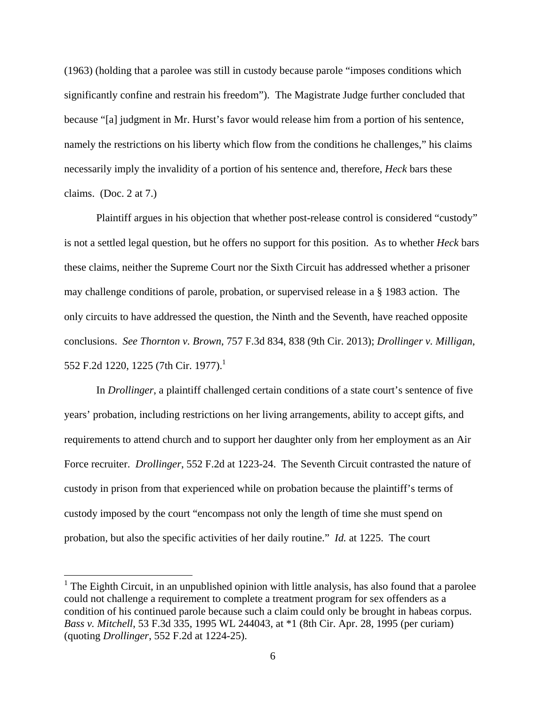(1963) (holding that a parolee was still in custody because parole "imposes conditions which significantly confine and restrain his freedom"). The Magistrate Judge further concluded that because "[a] judgment in Mr. Hurst's favor would release him from a portion of his sentence, namely the restrictions on his liberty which flow from the conditions he challenges," his claims necessarily imply the invalidity of a portion of his sentence and, therefore, *Heck* bars these claims. (Doc. 2 at 7.)

Plaintiff argues in his objection that whether post-release control is considered "custody" is not a settled legal question, but he offers no support for this position. As to whether *Heck* bars these claims, neither the Supreme Court nor the Sixth Circuit has addressed whether a prisoner may challenge conditions of parole, probation, or supervised release in a § 1983 action. The only circuits to have addressed the question, the Ninth and the Seventh, have reached opposite conclusions. *See Thornton v. Brown*, 757 F.3d 834, 838 (9th Cir. 2013); *Drollinger v. Milligan*, 552 F.2d 1220, 1225 (7th Cir. 1977).<sup>1</sup>

In *Drollinger*, a plaintiff challenged certain conditions of a state court's sentence of five years' probation, including restrictions on her living arrangements, ability to accept gifts, and requirements to attend church and to support her daughter only from her employment as an Air Force recruiter. *Drollinger*, 552 F.2d at 1223-24. The Seventh Circuit contrasted the nature of custody in prison from that experienced while on probation because the plaintiff's terms of custody imposed by the court "encompass not only the length of time she must spend on probation, but also the specific activities of her daily routine." *Id.* at 1225. The court

<sup>&</sup>lt;sup>1</sup> The Eighth Circuit, in an unpublished opinion with little analysis, has also found that a parolee could not challenge a requirement to complete a treatment program for sex offenders as a condition of his continued parole because such a claim could only be brought in habeas corpus. *Bass v. Mitchell*, 53 F.3d 335, 1995 WL 244043, at \*1 (8th Cir. Apr. 28, 1995 (per curiam) (quoting *Drollinger*, 552 F.2d at 1224-25).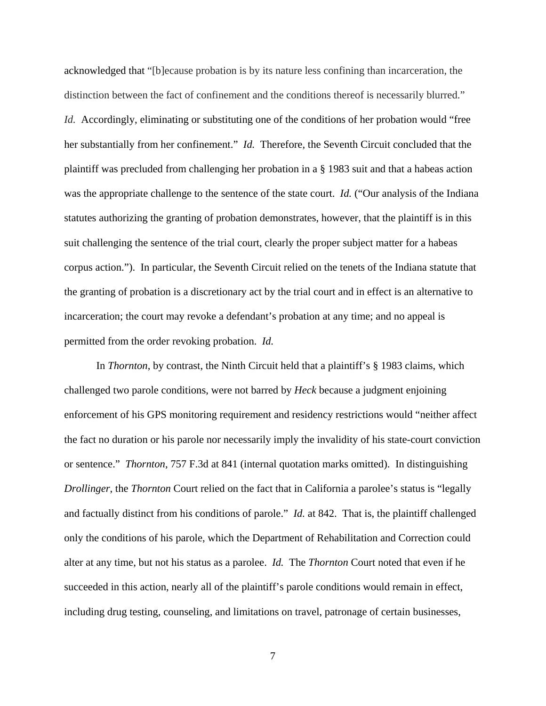acknowledged that "[b]ecause probation is by its nature less confining than incarceration, the distinction between the fact of confinement and the conditions thereof is necessarily blurred." *Id.* Accordingly, eliminating or substituting one of the conditions of her probation would "free her substantially from her confinement." *Id.* Therefore, the Seventh Circuit concluded that the plaintiff was precluded from challenging her probation in a § 1983 suit and that a habeas action was the appropriate challenge to the sentence of the state court. *Id.* ("Our analysis of the Indiana") statutes authorizing the granting of probation demonstrates, however, that the plaintiff is in this suit challenging the sentence of the trial court, clearly the proper subject matter for a habeas corpus action."). In particular, the Seventh Circuit relied on the tenets of the Indiana statute that the granting of probation is a discretionary act by the trial court and in effect is an alternative to incarceration; the court may revoke a defendant's probation at any time; and no appeal is permitted from the order revoking probation. *Id.* 

In *Thornton*, by contrast, the Ninth Circuit held that a plaintiff's § 1983 claims, which challenged two parole conditions, were not barred by *Heck* because a judgment enjoining enforcement of his GPS monitoring requirement and residency restrictions would "neither affect the fact no duration or his parole nor necessarily imply the invalidity of his state-court conviction or sentence." *Thornton*, 757 F.3d at 841 (internal quotation marks omitted). In distinguishing *Drollinger*, the *Thornton* Court relied on the fact that in California a parolee's status is "legally and factually distinct from his conditions of parole." *Id.* at 842. That is, the plaintiff challenged only the conditions of his parole, which the Department of Rehabilitation and Correction could alter at any time, but not his status as a parolee. *Id.* The *Thornton* Court noted that even if he succeeded in this action, nearly all of the plaintiff's parole conditions would remain in effect, including drug testing, counseling, and limitations on travel, patronage of certain businesses,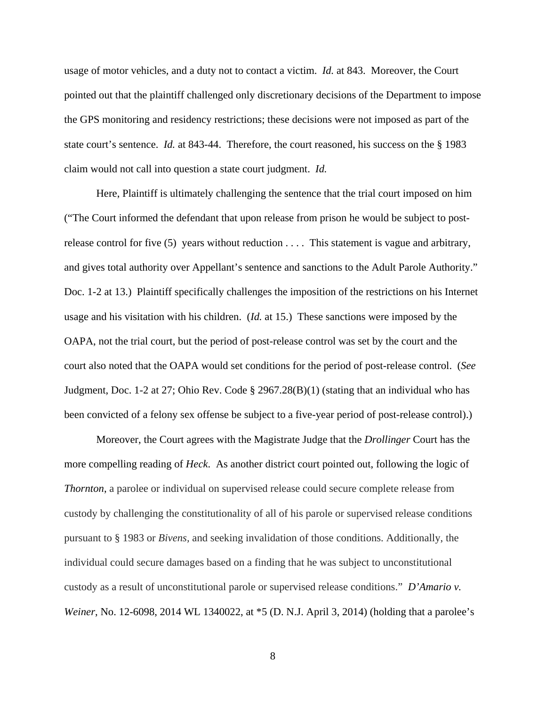usage of motor vehicles, and a duty not to contact a victim. *Id.* at 843. Moreover, the Court pointed out that the plaintiff challenged only discretionary decisions of the Department to impose the GPS monitoring and residency restrictions; these decisions were not imposed as part of the state court's sentence. *Id.* at 843-44. Therefore, the court reasoned, his success on the § 1983 claim would not call into question a state court judgment. *Id.*

Here, Plaintiff is ultimately challenging the sentence that the trial court imposed on him ("The Court informed the defendant that upon release from prison he would be subject to postrelease control for five  $(5)$  years without reduction  $\dots$ . This statement is vague and arbitrary, and gives total authority over Appellant's sentence and sanctions to the Adult Parole Authority." Doc. 1-2 at 13.) Plaintiff specifically challenges the imposition of the restrictions on his Internet usage and his visitation with his children. (*Id.* at 15.) These sanctions were imposed by the OAPA, not the trial court, but the period of post-release control was set by the court and the court also noted that the OAPA would set conditions for the period of post-release control. (*See* Judgment, Doc. 1-2 at 27; Ohio Rev. Code  $\S 2967.28(B)(1)$  (stating that an individual who has been convicted of a felony sex offense be subject to a five-year period of post-release control).)

Moreover, the Court agrees with the Magistrate Judge that the *Drollinger* Court has the more compelling reading of *Heck*. As another district court pointed out, following the logic of *Thornton*, a parolee or individual on supervised release could secure complete release from custody by challenging the constitutionality of all of his parole or supervised release conditions pursuant to § 1983 or *Bivens,* and seeking invalidation of those conditions. Additionally, the individual could secure damages based on a finding that he was subject to unconstitutional custody as a result of unconstitutional parole or supervised release conditions." *D'Amario v. Weiner*, No. 12-6098, 2014 WL 1340022, at \*5 (D. N.J. April 3, 2014) (holding that a parolee's